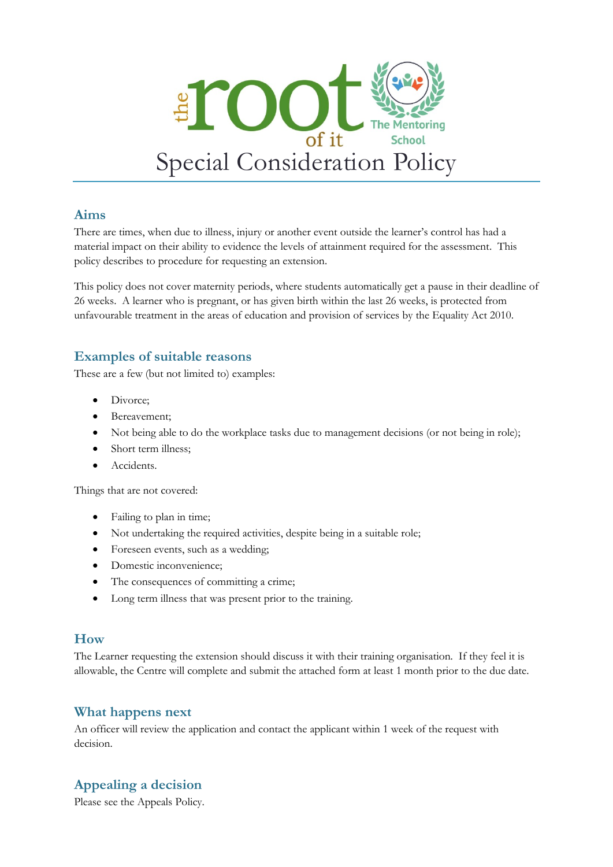

#### **Aims**

There are times, when due to illness, injury or another event outside the learner's control has had a material impact on their ability to evidence the levels of attainment required for the assessment. This policy describes to procedure for requesting an extension.

This policy does not cover maternity periods, where students automatically get a pause in their deadline of 26 weeks. A learner who is pregnant, or has given birth within the last 26 weeks, is protected from unfavourable treatment in the areas of education and provision of services by the Equality Act 2010.

### **Examples of suitable reasons**

These are a few (but not limited to) examples:

- Divorce;
- Bereavement;
- Not being able to do the workplace tasks due to management decisions (or not being in role);
- Short term illness;
- Accidents.

Things that are not covered:

- Failing to plan in time;
- Not undertaking the required activities, despite being in a suitable role;
- Foreseen events, such as a wedding;
- Domestic inconvenience;
- The consequences of committing a crime;
- Long term illness that was present prior to the training.

#### **How**

The Learner requesting the extension should discuss it with their training organisation. If they feel it is allowable, the Centre will complete and submit the attached form at least 1 month prior to the due date.

#### **What happens next**

An officer will review the application and contact the applicant within 1 week of the request with decision.

## **Appealing a decision**

Please see the Appeals Policy.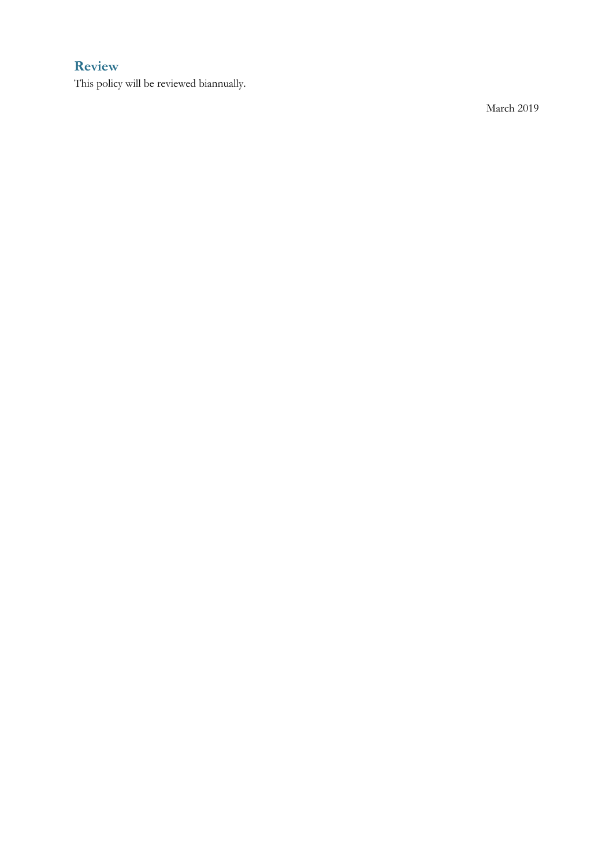## **Review**

This policy will be reviewed b iannually.

March 201 9